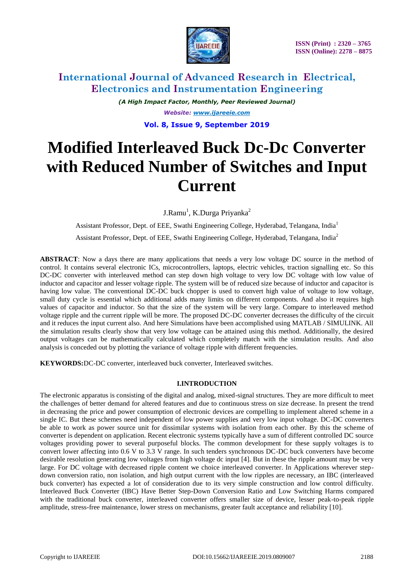

*(A High Impact Factor, Monthly, Peer Reviewed Journal) Website: [www.ijareeie.com](http://www.ijareeie.com/)* **Vol. 8, Issue 9, September 2019**

# **Modified Interleaved Buck Dc-Dc Converter with Reduced Number of Switches and Input Current**

J.Ramu<sup>1</sup>, K.Durga Priyanka<sup>2</sup>

Assistant Professor, Dept. of EEE, Swathi Engineering College, Hyderabad, Telangana, India<sup>1</sup> Assistant Professor, Dept. of EEE, Swathi Engineering College, Hyderabad, Telangana, India<sup>2</sup>

**ABSTRACT**: Now a days there are many applications that needs a very low voltage DC source in the method of control. It contains several electronic ICs, microcontrollers, laptops, electric vehicles, traction signalling etc. So this DC-DC converter with interleaved method can step down high voltage to very low DC voltage with low value of inductor and capacitor and lesser voltage ripple. The system will be of reduced size because of inductor and capacitor is having low value. The conventional DC-DC buck chopper is used to convert high value of voltage to low voltage, small duty cycle is essential which additional adds many limits on different components. And also it requires high values of capacitor and inductor. So that the size of the system will be very large. Compare to interleaved method voltage ripple and the current ripple will be more. The proposed DC-DC converter decreases the difficulty of the circuit and it reduces the input current also. And here Simulations have been accomplished using MATLAB / SIMULINK. All the simulation results clearly show that very low voltage can be attained using this method. Additionally, the desired output voltages can be mathematically calculated which completely match with the simulation results. And also analysis is conceded out by plotting the variance of voltage ripple with different frequencies.

**KEYWORDS:**DC-DC converter, interleaved buck converter, Interleaved switches.

### **I.INTRODUCTION**

The electronic apparatus is consisting of the digital and analog, mixed-signal structures. They are more difficult to meet the challenges of better demand for altered features and due to continuous stress on size decrease. In present the trend in decreasing the price and power consumption of electronic devices are compelling to implement altered scheme in a single IC. But these schemes need independent of low power supplies and very low input voltage. DC-DC converters be able to work as power source unit for dissimilar systems with isolation from each other. By this the scheme of converter is dependent on application. Recent electronic systems typically have a sum of different controlled DC source voltages providing power to several purposeful blocks. The common development for these supply voltages is to convert lower affecting into 0.6 V to 3.3 V range. In such tenders synchronous DC-DC buck converters have become desirable resolution generating low voltages from high voltage dc input [4]. But in these the ripple amount may be very large. For DC voltage with decreased ripple content we choice interleaved converter. In Applications wherever stepdown conversion ratio, non isolation, and high output current with the low ripples are necessary, an IBC (interleaved buck converter) has expected a lot of consideration due to its very simple construction and low control difficulty. Interleaved Buck Converter (IBC) Have Better Step-Down Conversion Ratio and Low Switching Harms compared with the traditional buck converter, interleaved converter offers smaller size of device, lesser peak-to-peak ripple amplitude, stress-free maintenance, lower stress on mechanisms, greater fault acceptance and reliability [10].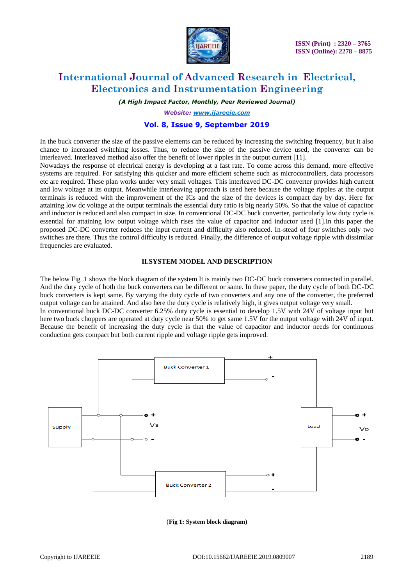

*(A High Impact Factor, Monthly, Peer Reviewed Journal)*

*Website: [www.ijareeie.com](http://www.ijareeie.com/)*

### **Vol. 8, Issue 9, September 2019**

In the buck converter the size of the passive elements can be reduced by increasing the switching frequency, but it also chance to increased switching losses. Thus, to reduce the size of the passive device used, the converter can be interleaved. Interleaved method also offer the benefit of lower ripples in the output current [11].

Nowadays the response of electrical energy is developing at a fast rate. To come across this demand, more effective systems are required. For satisfying this quicker and more efficient scheme such as microcontrollers, data processors etc are required. These plan works under very small voltages. This interleaved DC-DC converter provides high current and low voltage at its output. Meanwhile interleaving approach is used here because the voltage ripples at the output terminals is reduced with the improvement of the ICs and the size of the devices is compact day by day. Here for attaining low dc voltage at the output terminals the essential duty ratio is big nearly 50%. So that the value of capacitor and inductor is reduced and also compact in size. In conventional DC-DC buck converter, particularly low duty cycle is essential for attaining low output voltage which rises the value of capacitor and inductor used [1].In this paper the proposed DC-DC converter reduces the input current and difficulty also reduced. In-stead of four switches only two switches are there. Thus the control difficulty is reduced. Finally, the difference of output voltage ripple with dissimilar frequencies are evaluated.

### **II.SYSTEM MODEL AND DESCRIPTION**

The below Fig .1 shows the block diagram of the system It is mainly two DC-DC buck converters connected in parallel. And the duty cycle of both the buck converters can be different or same. In these paper, the duty cycle of both DC-DC buck converters is kept same. By varying the duty cycle of two converters and any one of the converter, the preferred output voltage can be attained. And also here the duty cycle is relatively high, it gives output voltage very small. In conventional buck DC-DC converter 6.25% duty cycle is essential to develop 1.5V with 24V of voltage input but here two buck choppers are operated at duty cycle near 50% to get same 1.5V for the output voltage with 24V of input. Because the benefit of increasing the duty cycle is that the value of capacitor and inductor needs for continuous conduction gets compact but both current ripple and voltage ripple gets improved.



(**Fig 1: System block diagram)**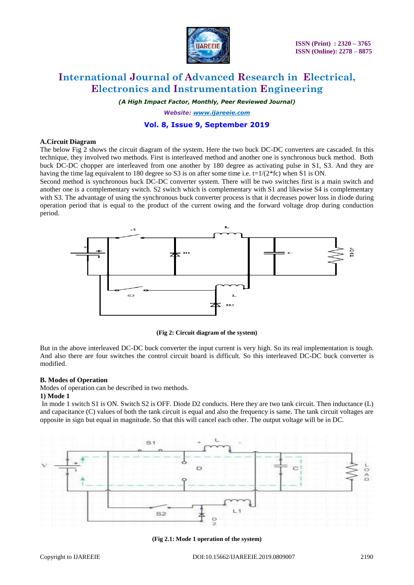

*(A High Impact Factor, Monthly, Peer Reviewed Journal)*

*Website: [www.ijareeie.com](http://www.ijareeie.com/)*

### **Vol. 8, Issue 9, September 2019**

#### **A.Circuit Diagram**

The below Fig 2 shows the circuit diagram of the system. Here the two buck DC-DC converters are cascaded. In this technique, they involved two methods. First is interleaved method and another one is synchronous buck method. Both buck DC-DC chopper are interleaved from one another by 180 degree as activating pulse in S1, S3. And they are having the time lag equivalent to 180 degree so S3 is on after some time i.e.  $t=1/(2*fc)$  when S1 is ON.

Second method is synchronous buck DC-DC converter system. There will be two switches first is a main switch and another one is a complementary switch. S2 switch which is complementary with S1 and likewise S4 is complementary with S3. The advantage of using the synchronous buck converter process is that it decreases power loss in diode during operation period that is equal to the product of the current owing and the forward voltage drop during conduction period.



**(Fig 2: Circuit diagram of the system)**

But in the above interleaved DC-DC buck converter the input current is very high. So its real implementation is tough. And also there are four switches the control circuit board is difficult. So this interleaved DC-DC buck converter is modified.

### **B. Modes of Operation**

Modes of operation can be described in two methods.

#### **1) Mode 1**

In mode 1 switch S1 is ON. Switch S2 is OFF. Diode D2 conducts. Here they are two tank circuit. Then inductance (L) and capacitance (C) values of both the tank circuit is equal and also the frequency is same. The tank circuit voltages are opposite in sign but equal in magnitude. So that this will cancel each other. The output voltage will be in DC.



**(Fig 2.1: Mode 1 operation of the system)**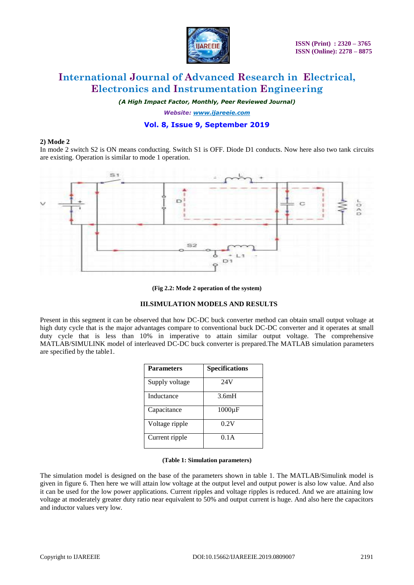

*(A High Impact Factor, Monthly, Peer Reviewed Journal)*

*Website: [www.ijareeie.com](http://www.ijareeie.com/)*

### **Vol. 8, Issue 9, September 2019**

### **2) Mode 2**

In mode 2 switch S2 is ON means conducting. Switch S1 is OFF. Diode D1 conducts. Now here also two tank circuits are existing. Operation is similar to mode 1 operation.



#### **(Fig 2.2: Mode 2 operation of the system)**

### **III.SIMULATION MODELS AND RESULTS**

Present in this segment it can be observed that how DC-DC buck converter method can obtain small output voltage at high duty cycle that is the major advantages compare to conventional buck DC-DC converter and it operates at small duty cycle that is less than 10% in imperative to attain similar output voltage. The comprehensive MATLAB/SIMULINK model of interleaved DC-DC buck converter is prepared.The MATLAB simulation parameters are specified by the table1.

| <b>Parameters</b> | <b>Specifications</b> |
|-------------------|-----------------------|
| Supply voltage    | 24V                   |
| Inductance        | 3.6mH                 |
| Capacitance       | $1000\mu F$           |
| Voltage ripple    | 0.2V                  |
| Current ripple    | 0.1A                  |

### **(Table 1: Simulation parameters)**

The simulation model is designed on the base of the parameters shown in table 1. The MATLAB/Simulink model is given in figure 6. Then here we will attain low voltage at the output level and output power is also low value. And also it can be used for the low power applications. Current ripples and voltage ripples is reduced. And we are attaining low voltage at moderately greater duty ratio near equivalent to 50% and output current is huge. And also here the capacitors and inductor values very low.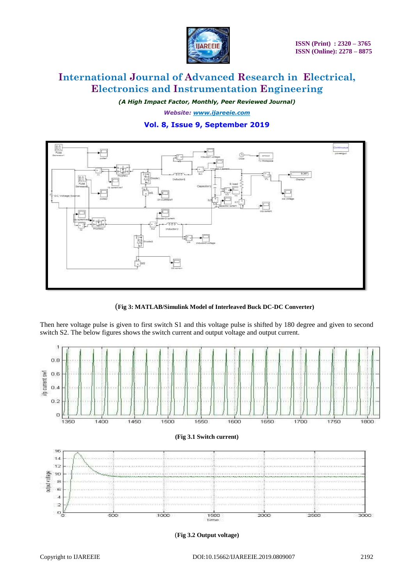

*(A High Impact Factor, Monthly, Peer Reviewed Journal) Website: [www.ijareeie.com](http://www.ijareeie.com/)*

### **Vol. 8, Issue 9, September 2019**



(**Fig 3: MATLAB/Simulink Model of Interleaved Buck DC-DC Converter)**

Then here voltage pulse is given to first switch S1 and this voltage pulse is shifted by 180 degree and given to second switch S2. The below figures shows the switch current and output voltage and output current.



(**Fig 3.2 Output voltage)**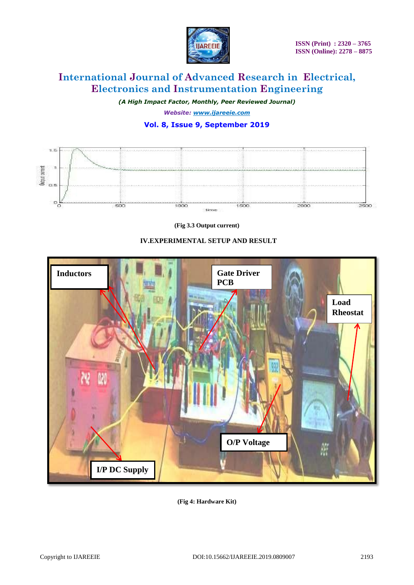

*(A High Impact Factor, Monthly, Peer Reviewed Journal) Website: [www.ijareeie.com](http://www.ijareeie.com/)*

### **Vol. 8, Issue 9, September 2019**



**(Fig 3.3 Output current)**

### **IV.EXPERIMENTAL SETUP AND RESULT**



**(Fig 4: Hardware Kit)**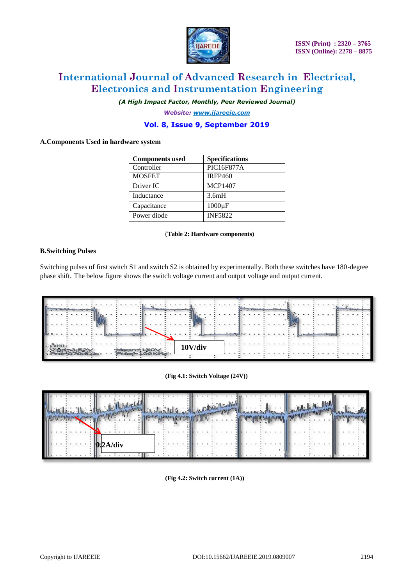

*(A High Impact Factor, Monthly, Peer Reviewed Journal)*

*Website: [www.ijareeie.com](http://www.ijareeie.com/)*

### **Vol. 8, Issue 9, September 2019**

### **A.Components Used in hardware system**

| <b>Components used</b> | <b>Specifications</b> |
|------------------------|-----------------------|
| Controller             | <b>PIC16F877A</b>     |
| <b>MOSFET</b>          | <b>IRFP460</b>        |
| Driver IC              | <b>MCP1407</b>        |
| Inductance             | 3.6mH                 |
| Capacitance            | $1000\mu F$           |
| Power diode            | <b>INF5822</b>        |

#### (**Table 2: Hardware components)**

### **B.Switching Pulses**

Switching pulses of first switch S1 and switch S2 is obtained by experimentally. Both these switches have 180-degree phase shift. The below figure shows the switch voltage current and output voltage and output current.







**(Fig 4.2: Switch current (1A))**